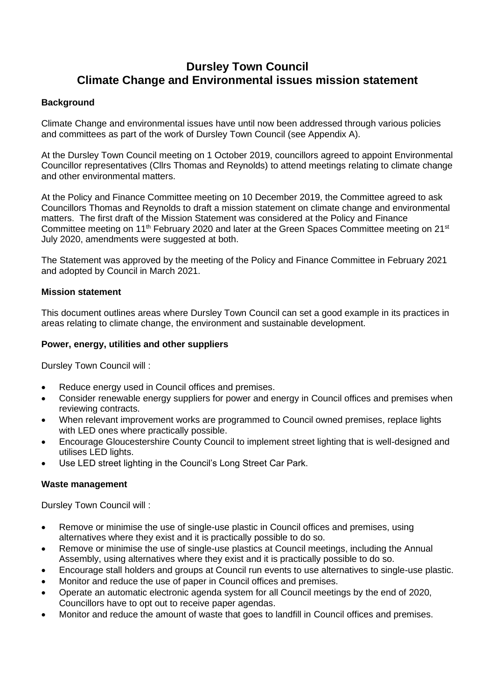# **Dursley Town Council Climate Change and Environmental issues mission statement**

## **Background**

Climate Change and environmental issues have until now been addressed through various policies and committees as part of the work of Dursley Town Council (see Appendix A).

At the Dursley Town Council meeting on 1 October 2019, councillors agreed to appoint Environmental Councillor representatives (Cllrs Thomas and Reynolds) to attend meetings relating to climate change and other environmental matters.

At the Policy and Finance Committee meeting on 10 December 2019, the Committee agreed to ask Councillors Thomas and Reynolds to draft a mission statement on climate change and environmental matters. The first draft of the Mission Statement was considered at the Policy and Finance Committee meeting on 11<sup>th</sup> February 2020 and later at the Green Spaces Committee meeting on 21<sup>st</sup> July 2020, amendments were suggested at both.

The Statement was approved by the meeting of the Policy and Finance Committee in February 2021 and adopted by Council in March 2021.

#### **Mission statement**

This document outlines areas where Dursley Town Council can set a good example in its practices in areas relating to climate change, the environment and sustainable development.

#### **Power, energy, utilities and other suppliers**

Dursley Town Council will :

- Reduce energy used in Council offices and premises.
- Consider renewable energy suppliers for power and energy in Council offices and premises when reviewing contracts.
- When relevant improvement works are programmed to Council owned premises, replace lights with LED ones where practically possible.
- Encourage Gloucestershire County Council to implement street lighting that is well-designed and utilises LED lights.
- Use LED street lighting in the Council's Long Street Car Park.

#### **Waste management**

Dursley Town Council will :

- Remove or minimise the use of single-use plastic in Council offices and premises, using alternatives where they exist and it is practically possible to do so.
- Remove or minimise the use of single-use plastics at Council meetings, including the Annual Assembly, using alternatives where they exist and it is practically possible to do so.
- Encourage stall holders and groups at Council run events to use alternatives to single-use plastic.
- Monitor and reduce the use of paper in Council offices and premises.
- Operate an automatic electronic agenda system for all Council meetings by the end of 2020, Councillors have to opt out to receive paper agendas.
- Monitor and reduce the amount of waste that goes to landfill in Council offices and premises.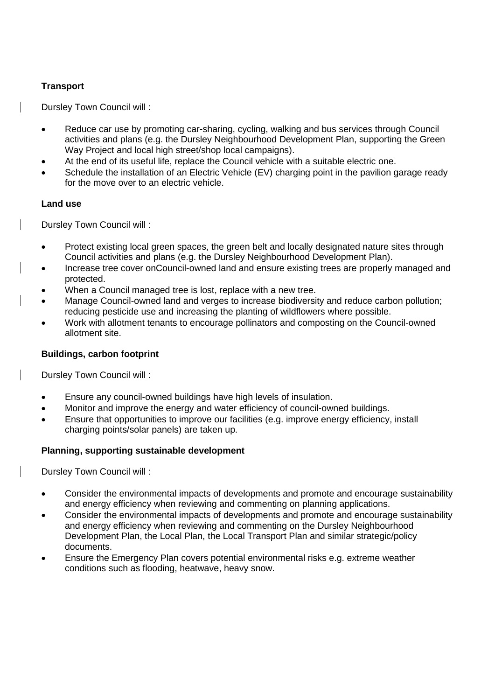## **Transport**

Dursley Town Council will :

- Reduce car use by promoting car-sharing, cycling, walking and bus services through Council activities and plans (e.g. the Dursley Neighbourhood Development Plan, supporting the Green Way Project and local high street/shop local campaigns).
- At the end of its useful life, replace the Council vehicle with a suitable electric one.
- Schedule the installation of an Electric Vehicle (EV) charging point in the pavilion garage ready for the move over to an electric vehicle.

## **Land use**

Dursley Town Council will :

- Protect existing local green spaces, the green belt and locally designated nature sites through Council activities and plans (e.g. the Dursley Neighbourhood Development Plan).
- Increase tree cover onCouncil-owned land and ensure existing trees are properly managed and protected.
- When a Council managed tree is lost, replace with a new tree.
- Manage Council-owned land and verges to increase biodiversity and reduce carbon pollution; reducing pesticide use and increasing the planting of wildflowers where possible.
- Work with allotment tenants to encourage pollinators and composting on the Council-owned allotment site.

## **Buildings, carbon footprint**

Dursley Town Council will :

- Ensure any council-owned buildings have high levels of insulation.
- Monitor and improve the energy and water efficiency of council-owned buildings.
- Ensure that opportunities to improve our facilities (e.g. improve energy efficiency, install charging points/solar panels) are taken up.

#### **Planning, supporting sustainable development**

Dursley Town Council will :

- Consider the environmental impacts of developments and promote and encourage sustainability and energy efficiency when reviewing and commenting on planning applications.
- Consider the environmental impacts of developments and promote and encourage sustainability and energy efficiency when reviewing and commenting on the Dursley Neighbourhood Development Plan, the Local Plan, the Local Transport Plan and similar strategic/policy documents.
- Ensure the Emergency Plan covers potential environmental risks e.g. extreme weather conditions such as flooding, heatwave, heavy snow.